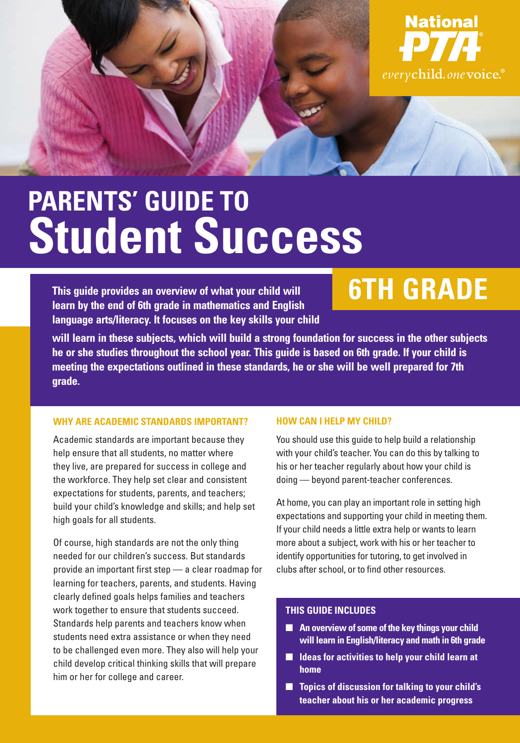

# **PARENTS' GUIDE TO Student Success**

**This guide provides an overview of what your child will learn by the end of 6th grade in mathematics and English language arts/literacy. It focuses on the key skills your child** 

## **6TH GRADE**

**will learn in these subjects, which will build a strong foundation for success in the other subjects he or she studies throughout the school year. This guide is based on 6th grade. If your child is meeting the expectations outlined in these standards, he or she will be well prepared for 7th grade.** 

#### **WHY ARE ACADEMIC STANDARDS IMPORTANT?**

Academic standards are important because they help ensure that all students, no matter where they live, are prepared for success in college and the workforce. They help set clear and consistent expectations for students, parents, and teachers; build your child's knowledge and skills; and help set high goals for all students.

Of course, high standards are not the only thing needed for our children's success. But standards provide an important first step — a clear roadmap for learning for teachers, parents, and students. Having clearly defined goals helps families and teachers work together to ensure that students succeed. Standards help parents and teachers know when students need extra assistance or when they need to be challenged even more. They also will help your child develop critical thinking skills that will prepare him or her for college and career.

#### **HOW CAN I HELP MY CHILD?**

You should use this guide to help build a relationship with your child's teacher. You can do this by talking to his or her teacher regularly about how your child is doing — beyond parent-teacher conferences.

At home, you can play an important role in setting high expectations and supporting your child in meeting them. If your child needs a little extra help or wants to learn more about a subject, work with his or her teacher to identify opportunities for tutoring, to get involved in clubs after school, or to find other resources.

#### **THIS GUIDE INCLUDES**

- An overview of some of the key things your child **will learn in English/literacy and math in 6th grade**
- **Ideas for activities to help your child learn at home**
- **Topics of discussion for talking to your child's teacher about his or her academic progress**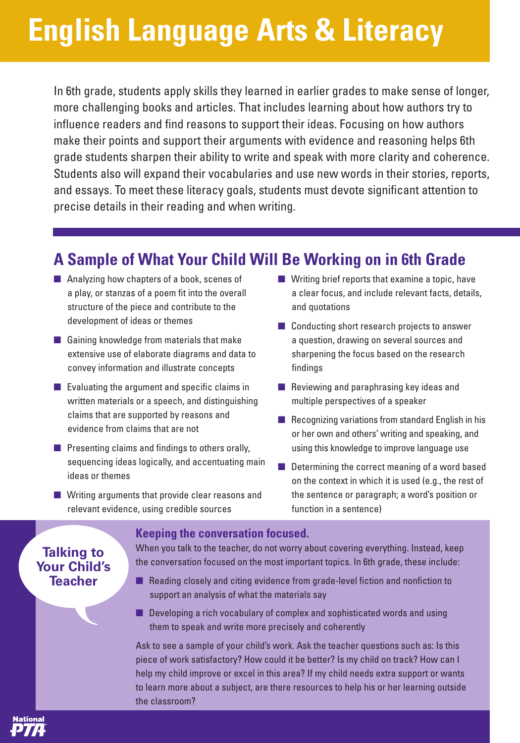# **English Language Arts & Literacy**

In 6th grade, students apply skills they learned in earlier grades to make sense of longer, more challenging books and articles. That includes learning about how authors try to influence readers and find reasons to support their ideas. Focusing on how authors make their points and support their arguments with evidence and reasoning helps 6th grade students sharpen their ability to write and speak with more clarity and coherence. Students also will expand their vocabularies and use new words in their stories, reports, and essays. To meet these literacy goals, students must devote significant attention to precise details in their reading and when writing.

## **A Sample of What Your Child Will Be Working on in 6th Grade**

- Analyzing how chapters of a book, scenes of a play, or stanzas of a poem fit into the overall structure of the piece and contribute to the development of ideas or themes
- Gaining knowledge from materials that make extensive use of elaborate diagrams and data to convey information and illustrate concepts
- Evaluating the argument and specific claims in written materials or a speech, and distinguishing claims that are supported by reasons and evidence from claims that are not
- Presenting claims and findings to others orally. sequencing ideas logically, and accentuating main ideas or themes
- Writing arguments that provide clear reasons and relevant evidence, using credible sources
- Writing brief reports that examine a topic, have a clear focus, and include relevant facts, details, and quotations
- Conducting short research projects to answer a question, drawing on several sources and sharpening the focus based on the research findings
- Reviewing and paraphrasing key ideas and multiple perspectives of a speaker
- $\blacksquare$  Recognizing variations from standard English in his or her own and others' writing and speaking, and using this knowledge to improve language use
- Determining the correct meaning of a word based on the context in which it is used (e.g., the rest of the sentence or paragraph; a word's position or function in a sentence)

### **Talking to Your Child's Teacher**

#### **Keeping the conversation focused.**

When you talk to the teacher, do not worry about covering everything. Instead, keep the conversation focused on the most important topics. In 6th grade, these include:

- Reading closely and citing evidence from grade-level fiction and nonfiction to support an analysis of what the materials say
- Developing a rich vocabulary of complex and sophisticated words and using them to speak and write more precisely and coherently

Ask to see a sample of your child's work. Ask the teacher questions such as: Is this piece of work satisfactory? How could it be better? Is my child on track? How can I help my child improve or excel in this area? If my child needs extra support or wants to learn more about a subject, are there resources to help his or her learning outside the classroom?

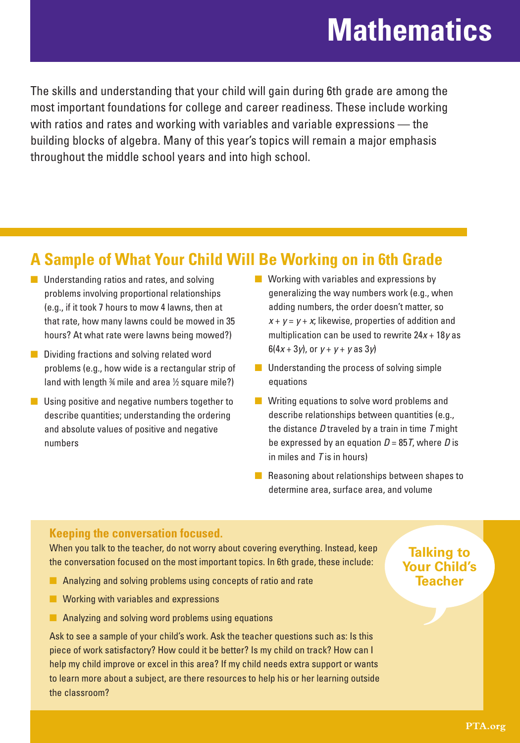## **Mathematics**

The skills and understanding that your child will gain during 6th grade are among the most important foundations for college and career readiness. These include working with ratios and rates and working with variables and variable expressions — the building blocks of algebra. Many of this year's topics will remain a major emphasis throughout the middle school years and into high school.

### **A Sample of What Your Child Will Be Working on in 6th Grade**

- Understanding ratios and rates, and solving problems involving proportional relationships (e.g., if it took 7 hours to mow 4 lawns, then at that rate, how many lawns could be mowed in 35 hours? At what rate were lawns being mowed?)
- Dividing fractions and solving related word problems (e.g., how wide is a rectangular strip of land with length  $\frac{3}{4}$  mile and area  $\frac{1}{2}$  square mile?)
- Using positive and negative numbers together to describe quantities; understanding the ordering and absolute values of positive and negative numbers
- Working with variables and expressions by generalizing the way numbers work (e.g., when adding numbers, the order doesn't matter, so  $x + y = y + x$ ; likewise, properties of addition and multiplication can be used to rewrite  $24x + 18y$  as  $6(4x + 3y)$ , or  $y + y + y$  as  $3y$
- Understanding the process of solving simple equations
- Writing equations to solve word problems and describe relationships between quantities (e.g., the distance  $D$  traveled by a train in time  $T$  might be expressed by an equation  $D = 85T$ , where D is in miles and  $T$  is in hours)
- Reasoning about relationships between shapes to determine area, surface area, and volume

#### **Keeping the conversation focused.**

When you talk to the teacher, do not worry about covering everything. Instead, keep the conversation focused on the most important topics. In 6th grade, these include:

- Analyzing and solving problems using concepts of ratio and rate
- Working with variables and expressions
- Analyzing and solving word problems using equations

Ask to see a sample of your child's work. Ask the teacher questions such as: Is this piece of work satisfactory? How could it be better? Is my child on track? How can I help my child improve or excel in this area? If my child needs extra support or wants to learn more about a subject, are there resources to help his or her learning outside the classroom?

### **Talking to Your Child's Teacher**